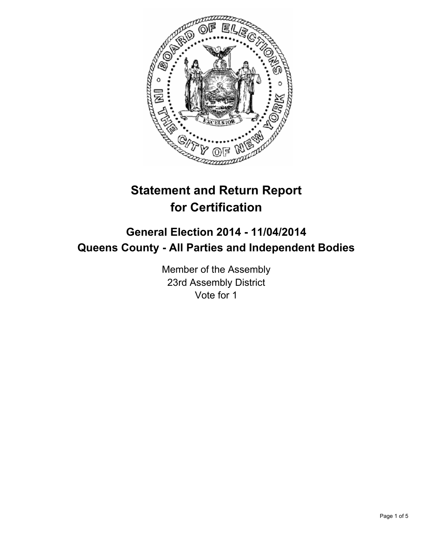

# **Statement and Return Report for Certification**

## **General Election 2014 - 11/04/2014 Queens County - All Parties and Independent Bodies**

Member of the Assembly 23rd Assembly District Vote for 1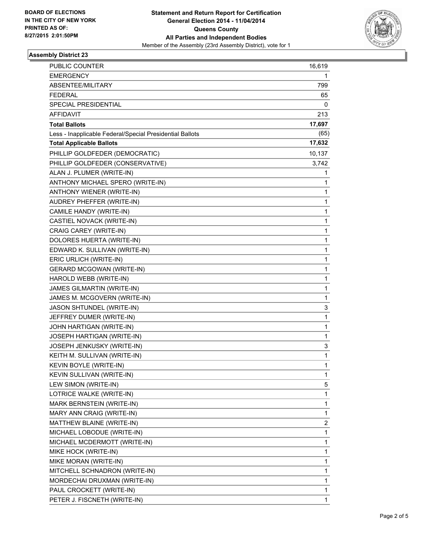

### **Assembly District 23**

| PUBLIC COUNTER                                           | 16,619       |
|----------------------------------------------------------|--------------|
| <b>EMERGENCY</b>                                         | 1            |
| ABSENTEE/MILITARY                                        | 799          |
| <b>FEDERAL</b>                                           | 65           |
| SPECIAL PRESIDENTIAL                                     | 0            |
| <b>AFFIDAVIT</b>                                         | 213          |
| <b>Total Ballots</b>                                     | 17,697       |
| Less - Inapplicable Federal/Special Presidential Ballots | (65)         |
| <b>Total Applicable Ballots</b>                          | 17,632       |
| PHILLIP GOLDFEDER (DEMOCRATIC)                           | 10,137       |
| PHILLIP GOLDFEDER (CONSERVATIVE)                         | 3,742        |
| ALAN J. PLUMER (WRITE-IN)                                | 1            |
| ANTHONY MICHAEL SPERO (WRITE-IN)                         | 1            |
| ANTHONY WIENER (WRITE-IN)                                | 1            |
| AUDREY PHEFFER (WRITE-IN)                                | 1            |
| CAMILE HANDY (WRITE-IN)                                  | 1            |
| CASTIEL NOVACK (WRITE-IN)                                | 1            |
| CRAIG CAREY (WRITE-IN)                                   | 1            |
| DOLORES HUERTA (WRITE-IN)                                | 1            |
| EDWARD K. SULLIVAN (WRITE-IN)                            | 1            |
| ERIC URLICH (WRITE-IN)                                   | 1            |
| <b>GERARD MCGOWAN (WRITE-IN)</b>                         | 1            |
| HAROLD WEBB (WRITE-IN)                                   | 1            |
| JAMES GILMARTIN (WRITE-IN)                               | 1            |
| JAMES M. MCGOVERN (WRITE-IN)                             | $\mathbf{1}$ |
| JASON SHTUNDEL (WRITE-IN)                                | 3            |
| JEFFREY DUMER (WRITE-IN)                                 | 1            |
| JOHN HARTIGAN (WRITE-IN)                                 | 1            |
| JOSEPH HARTIGAN (WRITE-IN)                               | 1            |
| JOSEPH JENKUSKY (WRITE-IN)                               | 3            |
| KEITH M. SULLIVAN (WRITE-IN)                             | 1            |
| KEVIN BOYLE (WRITE-IN)                                   | 1            |
| KEVIN SULLIVAN (WRITE-IN)                                | 1            |
| LEW SIMON (WRITE-IN)                                     | 5            |
| LOTRICE WALKE (WRITE-IN)                                 | 1            |
| MARK BERNSTEIN (WRITE-IN)                                | 1            |
| MARY ANN CRAIG (WRITE-IN)                                | 1            |
| MATTHEW BLAINE (WRITE-IN)                                | 2            |
| MICHAEL LOBODUE (WRITE-IN)                               | 1            |
| MICHAEL MCDERMOTT (WRITE-IN)                             | 1            |
| MIKE HOCK (WRITE-IN)                                     | 1            |
| MIKE MORAN (WRITE-IN)                                    | 1            |
| MITCHELL SCHNADRON (WRITE-IN)                            | 1            |
| MORDECHAI DRUXMAN (WRITE-IN)                             | 1            |
| PAUL CROCKETT (WRITE-IN)                                 | 1            |
| PETER J. FISCNETH (WRITE-IN)                             | 1            |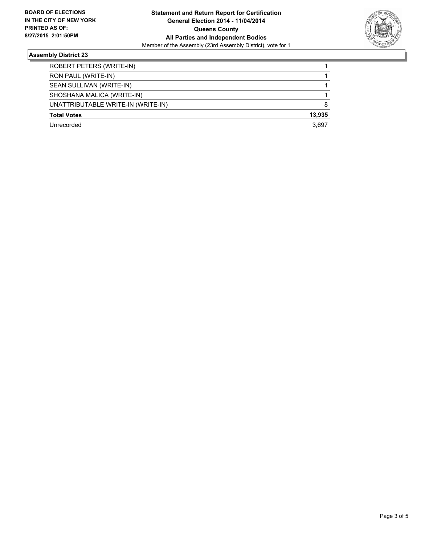

### **Assembly District 23**

| ROBERT PETERS (WRITE-IN)           |        |
|------------------------------------|--------|
| RON PAUL (WRITE-IN)                |        |
| SEAN SULLIVAN (WRITE-IN)           |        |
| SHOSHANA MALICA (WRITE-IN)         |        |
| UNATTRIBUTABLE WRITE-IN (WRITE-IN) | 8      |
| <b>Total Votes</b>                 | 13.935 |
| Unrecorded                         | 3.697  |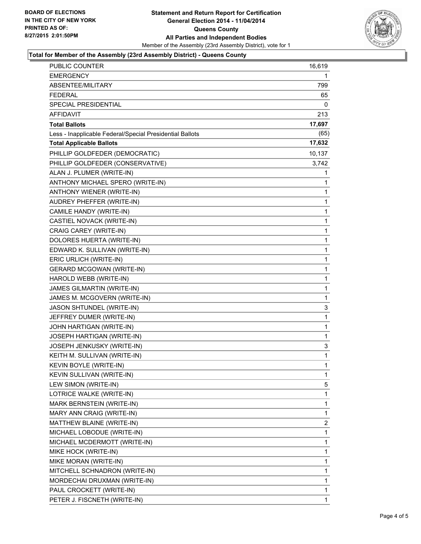

#### **Total for Member of the Assembly (23rd Assembly District) - Queens County**

| PUBLIC COUNTER                                           | 16,619       |
|----------------------------------------------------------|--------------|
| <b>EMERGENCY</b>                                         | 1            |
| ABSENTEE/MILITARY                                        | 799          |
| <b>FEDERAL</b>                                           | 65           |
| SPECIAL PRESIDENTIAL                                     | 0            |
| AFFIDAVIT                                                | 213          |
| <b>Total Ballots</b>                                     | 17,697       |
| Less - Inapplicable Federal/Special Presidential Ballots | (65)         |
| <b>Total Applicable Ballots</b>                          | 17,632       |
| PHILLIP GOLDFEDER (DEMOCRATIC)                           | 10,137       |
| PHILLIP GOLDFEDER (CONSERVATIVE)                         | 3,742        |
| ALAN J. PLUMER (WRITE-IN)                                | 1            |
| ANTHONY MICHAEL SPERO (WRITE-IN)                         | 1            |
| ANTHONY WIENER (WRITE-IN)                                | 1            |
| AUDREY PHEFFER (WRITE-IN)                                | $\mathbf{1}$ |
| CAMILE HANDY (WRITE-IN)                                  | 1            |
| CASTIEL NOVACK (WRITE-IN)                                | 1            |
| CRAIG CAREY (WRITE-IN)                                   | $\mathbf{1}$ |
| DOLORES HUERTA (WRITE-IN)                                | 1            |
| EDWARD K. SULLIVAN (WRITE-IN)                            | 1            |
| ERIC URLICH (WRITE-IN)                                   | $\mathbf{1}$ |
| <b>GERARD MCGOWAN (WRITE-IN)</b>                         | 1            |
| HAROLD WEBB (WRITE-IN)                                   | 1            |
| JAMES GILMARTIN (WRITE-IN)                               | 1            |
| JAMES M. MCGOVERN (WRITE-IN)                             | 1            |
| JASON SHTUNDEL (WRITE-IN)                                | 3            |
| JEFFREY DUMER (WRITE-IN)                                 | $\mathbf 1$  |
| JOHN HARTIGAN (WRITE-IN)                                 | 1            |
| JOSEPH HARTIGAN (WRITE-IN)                               | 1            |
| JOSEPH JENKUSKY (WRITE-IN)                               | 3            |
| KEITH M. SULLIVAN (WRITE-IN)                             | 1            |
| KEVIN BOYLE (WRITE-IN)                                   | 1            |
| KEVIN SULLIVAN (WRITE-IN)                                | 1            |
| LEW SIMON (WRITE-IN)                                     | 5            |
| LOTRICE WALKE (WRITE-IN)                                 | 1            |
| MARK BERNSTEIN (WRITE-IN)                                | 1            |
| MARY ANN CRAIG (WRITE-IN)                                | 1            |
| MATTHEW BLAINE (WRITE-IN)                                | 2            |
| MICHAEL LOBODUE (WRITE-IN)                               | 1            |
| MICHAEL MCDERMOTT (WRITE-IN)                             | 1            |
| MIKE HOCK (WRITE-IN)                                     | 1            |
| MIKE MORAN (WRITE-IN)                                    | 1            |
| MITCHELL SCHNADRON (WRITE-IN)                            | 1            |
| MORDECHAI DRUXMAN (WRITE-IN)                             | 1            |
| PAUL CROCKETT (WRITE-IN)                                 | 1            |
| PETER J. FISCNETH (WRITE-IN)                             | 1            |